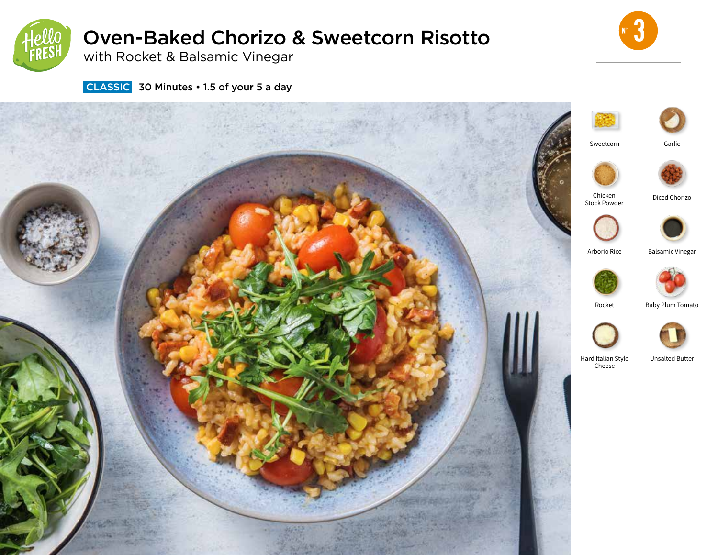

# Oven-Baked Chorizo & Sweetcorn Risotto

with Rocket & Balsamic Vinegar



**CLASSIC** 30 Minutes • 1.5 of your 5 a day